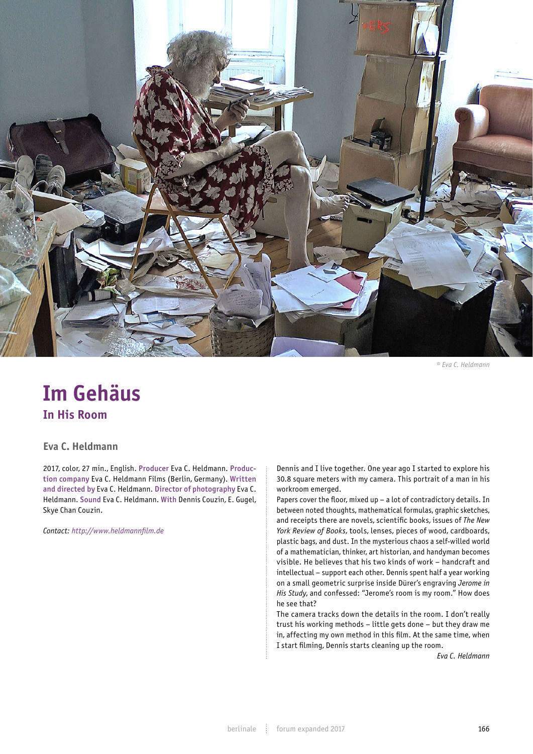

*© Eva C. Heldmann*

## **Im Gehäus In His Room**

**Eva C. Heldmann**

2017, color, 27 min., English. Producer Eva C. Heldmann. Production company Eva C. Heldmann Films (Berlin, Germany). Written and directed by Eva C. Heldmann. Director of photography Eva C. Heldmann. Sound Eva C. Heldmann. With Dennis Couzin, E. Gugel, Skye Chan Couzin.

*Contact: http://www.heldmannfilm.de*

Dennis and I live together. One year ago I started to explore his 30.8 square meters with my camera. This portrait of a man in his workroom emerged.

Papers cover the floor, mixed up – a lot of contradictory details. In between noted thoughts, mathematical formulas, graphic sketches, and receipts there are novels, scientific books, issues of *The New York Review of Books*, tools, lenses, pieces of wood, cardboards, plastic bags, and dust. In the mysterious chaos a self-willed world of a mathematician, thinker, art historian, and handyman becomes visible. He believes that his two kinds of work – handcraft and intellectual – support each other. Dennis spent half a year working on a small geometric surprise inside Dürer's engraving *Jerome in His Study*, and confessed: "Jerome's room is my room." How does he see that?

The camera tracks down the details in the room. I don't really trust his working methods – little gets done – but they draw me in, affecting my own method in this film. At the same time, when I start filming, Dennis starts cleaning up the room.

*Eva C. Heldmann*